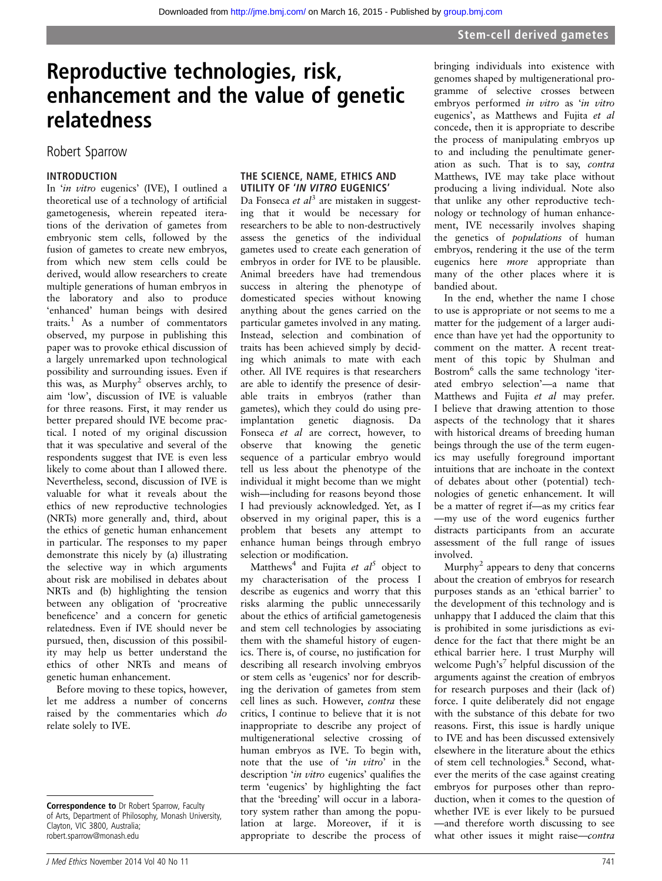# Reproductive technologies, risk, enhancement and the value of genetic relatedness

# Robert Sparrow

## INTRODUCTION

In 'in vitro eugenics' (IVE), I outlined a theoretical use of a technology of artificial gametogenesis, wherein repeated iterations of the derivation of gametes from embryonic stem cells, followed by the fusion of gametes to create new embryos, from which new stem cells could be derived, would allow researchers to create multiple generations of human embryos in the laboratory and also to produce 'enhanced' human beings with desired traits.<sup>1</sup> As a number of commentators observed, my purpose in publishing this paper was to provoke ethical discussion of a largely unremarked upon technological possibility and surrounding issues. Even if this was, as  $Murphy<sup>2</sup>$  observes archly, to aim 'low', discussion of IVE is valuable for three reasons. First, it may render us better prepared should IVE become practical. I noted of my original discussion that it was speculative and several of the respondents suggest that IVE is even less likely to come about than I allowed there. Nevertheless, second, discussion of IVE is valuable for what it reveals about the ethics of new reproductive technologies (NRTs) more generally and, third, about the ethics of genetic human enhancement in particular. The responses to my paper demonstrate this nicely by (a) illustrating the selective way in which arguments about risk are mobilised in debates about NRTs and (b) highlighting the tension between any obligation of 'procreative beneficence' and a concern for genetic relatedness. Even if IVE should never be pursued, then, discussion of this possibility may help us better understand the ethics of other NRTs and means of genetic human enhancement.

Before moving to these topics, however, let me address a number of concerns raised by the commentaries which do relate solely to IVE.

## THE SCIENCE, NAME, ETHICS AND UTILITY OF 'IN VITRO EUGENICS'

Da Fonseca et  $al^3$  are mistaken in suggesting that it would be necessary for researchers to be able to non-destructively assess the genetics of the individual gametes used to create each generation of embryos in order for IVE to be plausible. Animal breeders have had tremendous success in altering the phenotype of domesticated species without knowing anything about the genes carried on the particular gametes involved in any mating. Instead, selection and combination of traits has been achieved simply by deciding which animals to mate with each other. All IVE requires is that researchers are able to identify the presence of desirable traits in embryos (rather than gametes), which they could do using preimplantation genetic diagnosis. Da Fonseca et al are correct, however, to observe that knowing the genetic sequence of a particular embryo would tell us less about the phenotype of the individual it might become than we might wish—including for reasons beyond those I had previously acknowledged. Yet, as I observed in my original paper, this is a problem that besets any attempt to enhance human beings through embryo selection or modification.

Matthews<sup>4</sup> and Fujita et  $al^5$  object to my characterisation of the process I describe as eugenics and worry that this risks alarming the public unnecessarily about the ethics of artificial gametogenesis and stem cell technologies by associating them with the shameful history of eugenics. There is, of course, no justification for describing all research involving embryos or stem cells as 'eugenics' nor for describing the derivation of gametes from stem cell lines as such. However, contra these critics, I continue to believe that it is not inappropriate to describe any project of multigenerational selective crossing of human embryos as IVE. To begin with, note that the use of 'in vitro' in the description 'in vitro eugenics' qualifies the term 'eugenics' by highlighting the fact that the 'breeding' will occur in a laboratory system rather than among the population at large. Moreover, if it is appropriate to describe the process of

bringing individuals into existence with genomes shaped by multigenerational programme of selective crosses between embryos performed in vitro as 'in vitro eugenics', as Matthews and Fujita et al concede, then it is appropriate to describe the process of manipulating embryos up to and including the penultimate generation as such. That is to say, contra Matthews, IVE may take place without producing a living individual. Note also that unlike any other reproductive technology or technology of human enhancement, IVE necessarily involves shaping the genetics of populations of human embryos, rendering it the use of the term eugenics here more appropriate than many of the other places where it is bandied about.

In the end, whether the name I chose to use is appropriate or not seems to me a matter for the judgement of a larger audience than have yet had the opportunity to comment on the matter. A recent treatment of this topic by Shulman and Bostrom<sup>6</sup> calls the same technology 'iterated embryo selection'—a name that Matthews and Fujita et al may prefer. I believe that drawing attention to those aspects of the technology that it shares with historical dreams of breeding human beings through the use of the term eugenics may usefully foreground important intuitions that are inchoate in the context of debates about other (potential) technologies of genetic enhancement. It will be a matter of regret if—as my critics fear —my use of the word eugenics further distracts participants from an accurate assessment of the full range of issues involved.

Murphy<sup>2</sup> appears to deny that concerns about the creation of embryos for research purposes stands as an 'ethical barrier' to the development of this technology and is unhappy that I adduced the claim that this is prohibited in some jurisdictions as evidence for the fact that there might be an ethical barrier here. I trust Murphy will welcome Pugh's <sup>7</sup> helpful discussion of the arguments against the creation of embryos for research purposes and their (lack of) force. I quite deliberately did not engage with the substance of this debate for two reasons. First, this issue is hardly unique to IVE and has been discussed extensively elsewhere in the literature about the ethics of stem cell technologies.<sup>8</sup> Second, whatever the merits of the case against creating embryos for purposes other than reproduction, when it comes to the question of whether IVE is ever likely to be pursued —and therefore worth discussing to see what other issues it might raise-contra

Correspondence to Dr Robert Sparrow, Faculty of Arts, Department of Philosophy, Monash University, Clayton, VIC 3800, Australia; robert.sparrow@monash.edu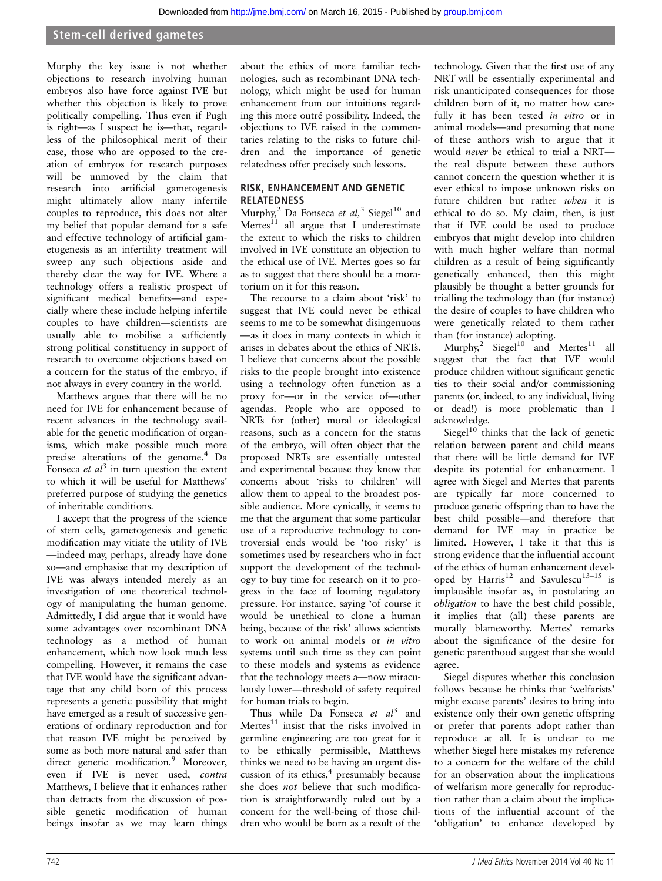# Stem-cell derived gametes

Murphy the key issue is not whether objections to research involving human embryos also have force against IVE but whether this objection is likely to prove politically compelling. Thus even if Pugh is right—as I suspect he is—that, regardless of the philosophical merit of their case, those who are opposed to the creation of embryos for research purposes will be unmoved by the claim that research into artificial gametogenesis might ultimately allow many infertile couples to reproduce, this does not alter my belief that popular demand for a safe and effective technology of artificial gametogenesis as an infertility treatment will sweep any such objections aside and thereby clear the way for IVE. Where a technology offers a realistic prospect of significant medical benefits—and especially where these include helping infertile couples to have children—scientists are usually able to mobilise a sufficiently strong political constituency in support of research to overcome objections based on a concern for the status of the embryo, if not always in every country in the world.

Matthews argues that there will be no need for IVE for enhancement because of recent advances in the technology available for the genetic modification of organisms, which make possible much more precise alterations of the genome.<sup>4</sup> Da Fonseca et  $al<sup>3</sup>$  in turn question the extent to which it will be useful for Matthews' preferred purpose of studying the genetics of inheritable conditions.

I accept that the progress of the science of stem cells, gametogenesis and genetic modification may vitiate the utility of IVE —indeed may, perhaps, already have done so—and emphasise that my description of IVE was always intended merely as an investigation of one theoretical technology of manipulating the human genome. Admittedly, I did argue that it would have some advantages over recombinant DNA technology as a method of human enhancement, which now look much less compelling. However, it remains the case that IVE would have the significant advantage that any child born of this process represents a genetic possibility that might have emerged as a result of successive generations of ordinary reproduction and for that reason IVE might be perceived by some as both more natural and safer than direct genetic modification.<sup>9</sup> Moreover, even if IVE is never used, contra Matthews, I believe that it enhances rather than detracts from the discussion of possible genetic modification of human beings insofar as we may learn things

about the ethics of more familiar technologies, such as recombinant DNA technology, which might be used for human enhancement from our intuitions regarding this more outré possibility. Indeed, the objections to IVE raised in the commentaries relating to the risks to future children and the importance of genetic relatedness offer precisely such lessons.

#### RISK, ENHANCEMENT AND GENETIC RELATEDNESS

Murphy,<sup>2</sup> Da Fonseca et al,<sup>3</sup> Siegel<sup>10</sup> and Mertes $^{11}$  all argue that I underestimate the extent to which the risks to children involved in IVE constitute an objection to the ethical use of IVE. Mertes goes so far as to suggest that there should be a moratorium on it for this reason.

The recourse to a claim about 'risk' to suggest that IVE could never be ethical seems to me to be somewhat disingenuous —as it does in many contexts in which it arises in debates about the ethics of NRTs. I believe that concerns about the possible risks to the people brought into existence using a technology often function as a proxy for—or in the service of—other agendas. People who are opposed to NRTs for (other) moral or ideological reasons, such as a concern for the status of the embryo, will often object that the proposed NRTs are essentially untested and experimental because they know that concerns about 'risks to children' will allow them to appeal to the broadest possible audience. More cynically, it seems to me that the argument that some particular use of a reproductive technology to controversial ends would be 'too risky' is sometimes used by researchers who in fact support the development of the technology to buy time for research on it to progress in the face of looming regulatory pressure. For instance, saying 'of course it would be unethical to clone a human being, because of the risk' allows scientists to work on animal models or in vitro systems until such time as they can point to these models and systems as evidence that the technology meets a—now miraculously lower—threshold of safety required for human trials to begin.

Thus while Da Fonseca et  $al^3$  and Mertes $11$  insist that the risks involved in germline engineering are too great for it to be ethically permissible, Matthews thinks we need to be having an urgent discussion of its ethics, $4$  presumably because she does not believe that such modification is straightforwardly ruled out by a concern for the well-being of those children who would be born as a result of the

technology. Given that the first use of any NRT will be essentially experimental and risk unanticipated consequences for those children born of it, no matter how carefully it has been tested in vitro or in animal models—and presuming that none of these authors wish to argue that it would never be ethical to trial a NRT the real dispute between these authors cannot concern the question whether it is ever ethical to impose unknown risks on future children but rather when it is ethical to do so. My claim, then, is just that if IVE could be used to produce embryos that might develop into children with much higher welfare than normal children as a result of being significantly genetically enhanced, then this might plausibly be thought a better grounds for trialling the technology than (for instance) the desire of couples to have children who were genetically related to them rather than (for instance) adopting.

Murphy,<sup>2</sup> Siegel<sup>10</sup> and Mertes<sup>11</sup> all suggest that the fact that IVF would produce children without significant genetic ties to their social and/or commissioning parents (or, indeed, to any individual, living or dead!) is more problematic than I acknowledge.

Siegel $10$  thinks that the lack of genetic relation between parent and child means that there will be little demand for IVE despite its potential for enhancement. I agree with Siegel and Mertes that parents are typically far more concerned to produce genetic offspring than to have the best child possible—and therefore that demand for IVE may in practice be limited. However, I take it that this is strong evidence that the influential account of the ethics of human enhancement developed by Harris<sup>12</sup> and Savulescu<sup>13-15</sup> is implausible insofar as, in postulating an obligation to have the best child possible, it implies that (all) these parents are morally blameworthy. Mertes' remarks about the significance of the desire for genetic parenthood suggest that she would agree.

Siegel disputes whether this conclusion follows because he thinks that 'welfarists' might excuse parents' desires to bring into existence only their own genetic offspring or prefer that parents adopt rather than reproduce at all. It is unclear to me whether Siegel here mistakes my reference to a concern for the welfare of the child for an observation about the implications of welfarism more generally for reproduction rather than a claim about the implications of the influential account of the 'obligation' to enhance developed by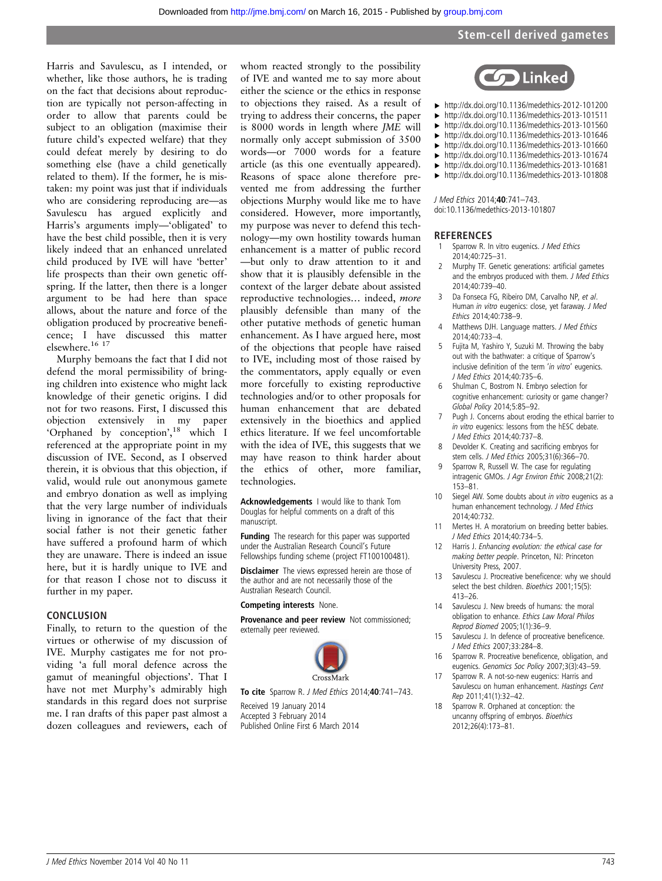#### Stem-cell derived gametes

Harris and Savulescu, as I intended, or whether, like those authors, he is trading on the fact that decisions about reproduction are typically not person-affecting in order to allow that parents could be subject to an obligation (maximise their future child's expected welfare) that they could defeat merely by desiring to do something else (have a child genetically related to them). If the former, he is mistaken: my point was just that if individuals who are considering reproducing are—as Savulescu has argued explicitly and Harris's arguments imply—'obligated' to have the best child possible, then it is very likely indeed that an enhanced unrelated child produced by IVE will have 'better' life prospects than their own genetic offspring. If the latter, then there is a longer argument to be had here than space allows, about the nature and force of the obligation produced by procreative beneficence; I have discussed this matter elsewhere.<sup>16</sup><sup>17</sup>

Murphy bemoans the fact that I did not defend the moral permissibility of bringing children into existence who might lack knowledge of their genetic origins. I did not for two reasons. First, I discussed this objection extensively in my paper 'Orphaned by conception', <sup>18</sup> which I referenced at the appropriate point in my discussion of IVE. Second, as I observed therein, it is obvious that this objection, if valid, would rule out anonymous gamete and embryo donation as well as implying that the very large number of individuals living in ignorance of the fact that their social father is not their genetic father have suffered a profound harm of which they are unaware. There is indeed an issue here, but it is hardly unique to IVE and for that reason I chose not to discuss it further in my paper.

#### **CONCLUSION**

Finally, to return to the question of the virtues or otherwise of my discussion of IVE. Murphy castigates me for not providing 'a full moral defence across the gamut of meaningful objections'. That I have not met Murphy's admirably high standards in this regard does not surprise me. I ran drafts of this paper past almost a dozen colleagues and reviewers, each of

whom reacted strongly to the possibility of IVE and wanted me to say more about either the science or the ethics in response to objections they raised. As a result of trying to address their concerns, the paper is 8000 words in length where JME will normally only accept submission of 3500 words—or 7000 words for a feature article (as this one eventually appeared). Reasons of space alone therefore prevented me from addressing the further objections Murphy would like me to have considered. However, more importantly, my purpose was never to defend this technology—my own hostility towards human enhancement is a matter of public record —but only to draw attention to it and show that it is plausibly defensible in the context of the larger debate about assisted reproductive technologies… indeed, more plausibly defensible than many of the other putative methods of genetic human enhancement. As I have argued here, most of the objections that people have raised to IVE, including most of those raised by the commentators, apply equally or even more forcefully to existing reproductive technologies and/or to other proposals for human enhancement that are debated extensively in the bioethics and applied ethics literature. If we feel uncomfortable with the idea of IVE, this suggests that we may have reason to think harder about the ethics of other, more familiar, technologies.

Acknowledgements I would like to thank Tom Douglas for helpful comments on a draft of this manuscript.

Funding The research for this paper was supported under the Australian Research Council's Future Fellowships funding scheme (project FT100100481).

**Disclaimer** The views expressed herein are those of the author and are not necessarily those of the Australian Research Council.

Competing interests None.

Provenance and peer review Not commissioned; externally peer reviewed.



To cite Sparrow R. J Med Ethics 2014;40:741-743.

Received 19 January 2014 Accepted 3 February 2014 Published Online First 6 March 2014



- ▸ <http://dx.doi.org/10.1136/medethics-2012-101200> ▸ <http://dx.doi.org/10.1136/medethics-2013-101511>
- ▸ <http://dx.doi.org/10.1136/medethics-2013-101560>
- ▸ <http://dx.doi.org/10.1136/medethics-2013-101646>
- ▸ <http://dx.doi.org/10.1136/medethics-2013-101660>
- ▸ <http://dx.doi.org/10.1136/medethics-2013-101674>
- ▸ <http://dx.doi.org/10.1136/medethics-2013-101681>
- ▸ <http://dx.doi.org/10.1136/medethics-2013-101808>

J Med Ethics 2014;40:741–743. doi:10.1136/medethics-2013-101807

# **REFERENCES**<br>1 Sparrow R. In

- Sparrow R. In vitro eugenics. J Med Ethics 2014;40:725–31.
- 2 Murphy TF. Genetic generations: artificial gametes and the embryos produced with them. J Med Ethics 2014;40:739–40.
- 3 Da Fonseca FG, Ribeiro DM, Carvalho NP, et al. Human in vitro eugenics: close, yet faraway. J Med Ethics 2014;40:738–9.
- 4 Matthews DJH. Language matters. J Med Ethics 2014;40:733–4.
- 5 Fujita M, Yashiro Y, Suzuki M. Throwing the baby out with the bathwater: a critique of Sparrow's inclusive definition of the term 'in vitro' eugenics. J Med Ethics 2014;40:735–6.
- 6 Shulman C, Bostrom N. Embryo selection for cognitive enhancement: curiosity or game changer? Global Policy 2014;5:85–92.
- 7 Pugh J. Concerns about eroding the ethical barrier to in vitro eugenics: lessons from the hESC debate. J Med Ethics 2014;40:737–8.
- 8 Devolder K. Creating and sacrificing embryos for stem cells. J Med Ethics 2005;31(6):366–70.
- 9 Sparrow R, Russell W. The case for regulating intragenic GMOs. J Agr Environ Ethic 2008;21(2): 153–81.
- 10 Siegel AW. Some doubts about in vitro eugenics as a human enhancement technology. J Med Ethics 2014;40:732.
- 11 Mertes H. A moratorium on breeding better babies. J Med Ethics 2014;40:734–5.
- Harris J. Enhancing evolution: the ethical case for making better people. Princeton, NJ: Princeton University Press, 2007.
- 13 Savulescu J. Procreative beneficence: why we should select the best children. Bioethics 2001:15(5): 413–26.
- 14 Savulescu J. New breeds of humans: the moral obligation to enhance. Ethics Law Moral Philos Reprod Biomed 2005;1(1):36–9.
- 15 Savulescu J. In defence of procreative beneficence. J Med Ethics 2007;33:284–8.
- 16 Sparrow R. Procreative beneficence, obligation, and eugenics. Genomics Soc Policy 2007;3(3):43–59.
- 17 Sparrow R. A not-so-new eugenics: Harris and Savulescu on human enhancement. Hastings Cent Rep 2011;41(1):32–42.
- 18 Sparrow R. Orphaned at conception: the uncanny offspring of embryos. Bioethics 2012;26(4):173–81.